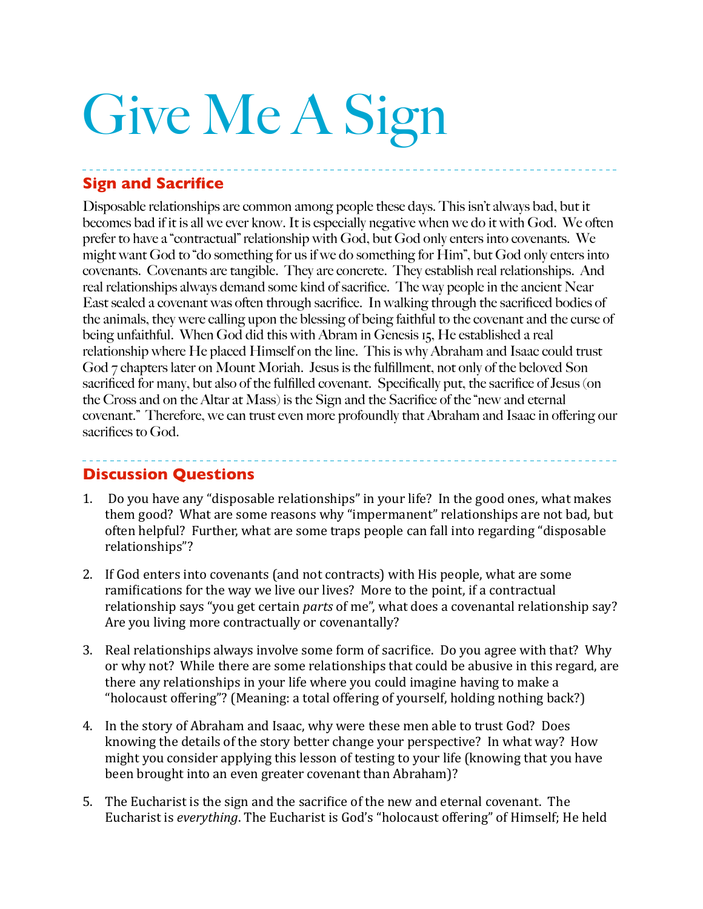# Give Me A Sign

# **Sign and Sacrifice**

Disposable relationships are common among people these days. This isn't always bad, but it becomes bad if it is all we ever know. It is especially negative when we do it with God. We often prefer to have a "contractual" relationship with God, but God only enters into covenants. We might want God to "do something for us if we do something for Him", but God only enters into covenants. Covenants are tangible. They are concrete. They establish real relationships. And real relationships always demand some kind of sacrifice. The way people in the ancient Near East sealed a covenant was often through sacrifice. In walking through the sacrificed bodies of the animals, they were calling upon the blessing of being faithful to the covenant and the curse of being unfaithful. When God did this with Abram in Genesis 15, He established a real relationship where He placed Himself on the line. This is why Abraham and Isaac could trust God 7 chapters later on Mount Moriah. Jesus is the fulfillment, not only of the beloved Son sacrificed for many, but also of the fulfilled covenant. Specifically put, the sacrifice of Jesus (on the Cross and on the Altar at Mass) is the Sign and the Sacrifice of the "new and eternal covenant." Therefore, we can trust even more profoundly that Abraham and Isaac in offering our sacrifices to God.

## **Discussion Questions**

1. Do you have any "disposable relationships" in your life? In the good ones, what makes them good? What are some reasons why "impermanent" relationships are not bad, but often helpful? Further, what are some traps people can fall into regarding "disposable relationships"? 

- 2. If God enters into covenants (and not contracts) with His people, what are some ramifications for the way we live our lives? More to the point, if a contractual relationship says "you get certain *parts* of me", what does a covenantal relationship say? Are you living more contractually or covenantally?
- 3. Real relationships always involve some form of sacrifice. Do you agree with that? Why or why not? While there are some relationships that could be abusive in this regard, are there any relationships in your life where you could imagine having to make a "holocaust offering"? (Meaning: a total offering of yourself, holding nothing back?)
- 4. In the story of Abraham and Isaac, why were these men able to trust God? Does knowing the details of the story better change your perspective? In what way? How might you consider applying this lesson of testing to your life (knowing that you have been brought into an even greater covenant than Abraham)?
- 5. The Eucharist is the sign and the sacrifice of the new and eternal covenant. The Eucharist is *everything*. The Eucharist is God's "holocaust offering" of Himself; He held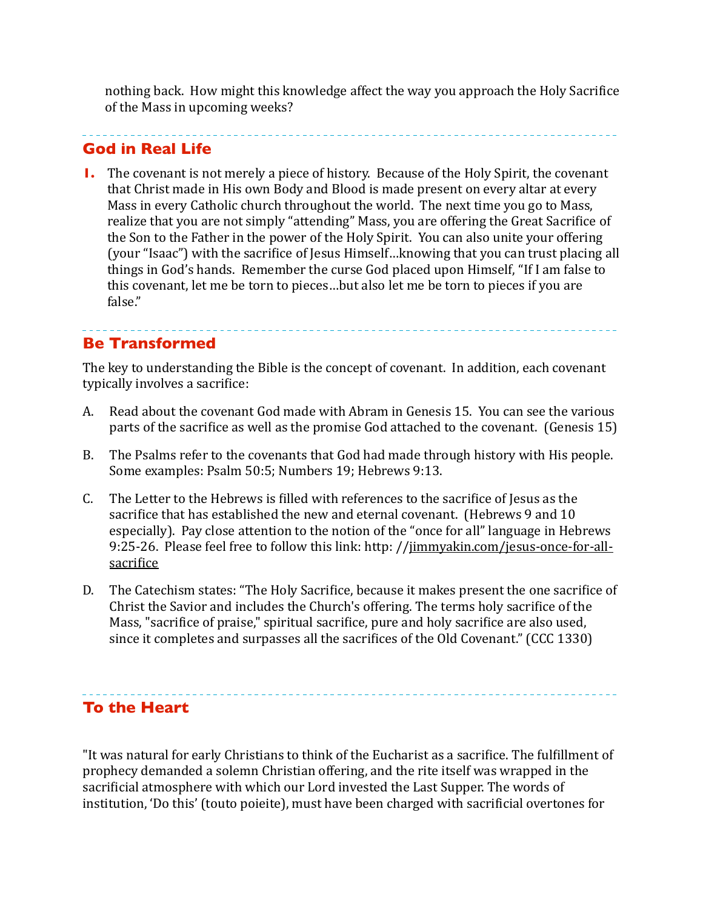nothing back. How might this knowledge affect the way you approach the Holy Sacrifice of the Mass in upcoming weeks?

#### **God in Real Life**

**1.** The covenant is not merely a piece of history. Because of the Holy Spirit, the covenant that Christ made in His own Body and Blood is made present on every altar at every Mass in every Catholic church throughout the world. The next time you go to Mass, realize that you are not simply "attending" Mass, you are offering the Great Sacrifice of the Son to the Father in the power of the Holy Spirit. You can also unite your offering (your "Isaac") with the sacrifice of Jesus Himself...knowing that you can trust placing all things in God's hands. Remember the curse God placed upon Himself, "If I am false to this covenant, let me be torn to pieces...but also let me be torn to pieces if you are false."

## **Be Transformed**

The key to understanding the Bible is the concept of covenant. In addition, each covenant typically involves a sacrifice:

- A. Read about the covenant God made with Abram in Genesis 15. You can see the various parts of the sacrifice as well as the promise God attached to the covenant. (Genesis 15)
- B. The Psalms refer to the covenants that God had made through history with His people. Some examples: Psalm 50:5; Numbers 19; Hebrews 9:13.
- C. The Letter to the Hebrews is filled with references to the sacrifice of Jesus as the sacrifice that has established the new and eternal covenant. (Hebrews 9 and 10 especially). Pay close attention to the notion of the "once for all" language in Hebrews 9:25-26. Please feel free to follow this link: http: //jimmyakin.com/jesus-once-for-allsacrifice
- D. The Catechism states: "The Holy Sacrifice, because it makes present the one sacrifice of Christ the Savior and includes the Church's offering. The terms holy sacrifice of the Mass, "sacrifice of praise," spiritual sacrifice, pure and holy sacrifice are also used, since it completes and surpasses all the sacrifices of the Old Covenant."  $(CCC 1330)$

## **To the Heart**

"It was natural for early Christians to think of the Eucharist as a sacrifice. The fulfillment of prophecy demanded a solemn Christian offering, and the rite itself was wrapped in the sacrificial atmosphere with which our Lord invested the Last Supper. The words of institution, 'Do this' (touto poieite), must have been charged with sacrificial overtones for